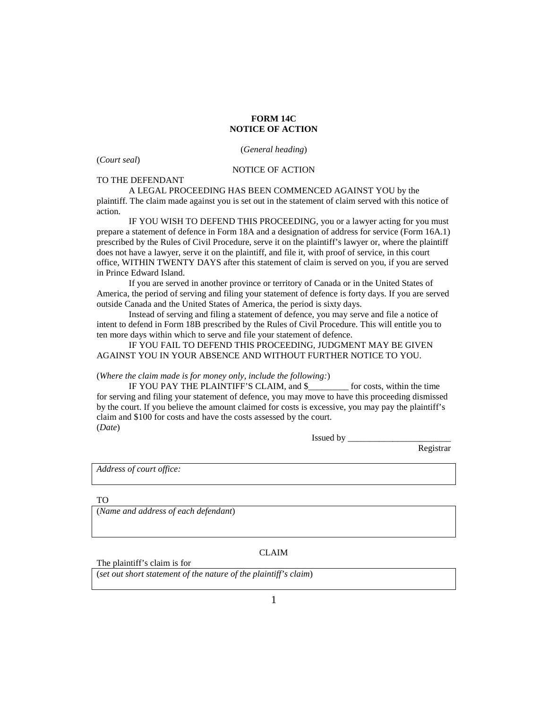## **FORM 14C NOTICE OF ACTION**

(*Court seal*)

## NOTICE OF ACTION

(*General heading*)

TO THE DEFENDANT

A LEGAL PROCEEDING HAS BEEN COMMENCED AGAINST YOU by the plaintiff. The claim made against you is set out in the statement of claim served with this notice of action.

IF YOU WISH TO DEFEND THIS PROCEEDING, you or a lawyer acting for you must prepare a statement of defence in Form 18A and a designation of address for service (Form 16A.1) prescribed by the Rules of Civil Procedure, serve it on the plaintiff's lawyer or, where the plaintiff does not have a lawyer, serve it on the plaintiff, and file it, with proof of service, in this court office, WITHIN TWENTY DAYS after this statement of claim is served on you, if you are served in Prince Edward Island.

If you are served in another province or territory of Canada or in the United States of America, the period of serving and filing your statement of defence is forty days. If you are served outside Canada and the United States of America, the period is sixty days.

Instead of serving and filing a statement of defence, you may serve and file a notice of intent to defend in Form 18B prescribed by the Rules of Civil Procedure. This will entitle you to ten more days within which to serve and file your statement of defence.

IF YOU FAIL TO DEFEND THIS PROCEEDING, JUDGMENT MAY BE GIVEN AGAINST YOU IN YOUR ABSENCE AND WITHOUT FURTHER NOTICE TO YOU.

(*Where the claim made is for money only, include the following:*)

IF YOU PAY THE PLAINTIFF'S CLAIM, and \$\_\_\_\_\_\_\_\_\_ for costs, within the time for serving and filing your statement of defence, you may move to have this proceeding dismissed by the court. If you believe the amount claimed for costs is excessive, you may pay the plaintiff's claim and \$100 for costs and have the costs assessed by the court. (*Date*)

Issued by \_\_\_\_\_\_\_\_\_\_\_\_\_\_\_\_\_\_\_\_\_\_\_

Registrar

*Address of court office:*

TO

(*Name and address of each defendant*)

CLAIM

The plaintiff's claim is for

(*set out short statement of the nature of the plaintiff's claim*)